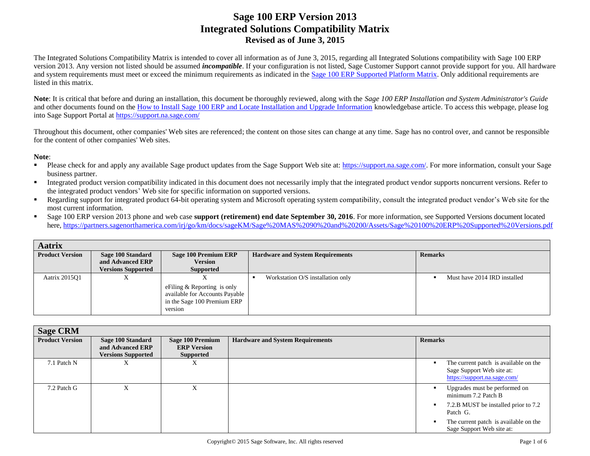The Integrated Solutions Compatibility Matrix is intended to cover all information as of June 3, 2015, regarding all Integrated Solutions compatibility with Sage 100 ERP version 2013. Any version not listed should be assumed *incompatible*. If your configuration is not listed, Sage Customer Support cannot provide support for you. All hardware and system requirements must meet or exceed the minimum requirements as indicated in the [Sage 100 ERP Supported Platform Matrix.](https://support.na.sage.com/selfservice/viewdocument.do?noCount=true&externalId=47649&sliceId=1&cmd=displayKC&dialogID=61183&docType=kc&isLoadPublishedVer=&stateId=61184&docTypeID=DT_Article&ViewedDocsListHelper=com.kanisa.apps.common.BaseViewedDocsListHelperImpl) Only additional requirements are listed in this matrix.

**Note**: It is critical that before and during an installation, this document be thoroughly reviewed, along with the *Sage 100 ERP Installation and System Administrator's Guide* and other documents found on the [How to Install Sage 100 ERP and Locate Installation and Upgrade Information](https://support.na.sage.com/selfservice/viewdocument.do?noCount=true&externalId=18216&sliceId=1&cmd=displayKC&dialogID=61183&docType=kc&isLoadPublishedVer=&stateId=61184&docTypeID=DT_Article&ViewedDocsListHelper=com.kanisa.apps.common.BaseViewedDocsListHelperImpl) knowledgebase article. To access this webpage, please log into Sage Support Portal a[t https://support.na.sage.com/](https://support.na.sage.com/)

Throughout this document, other companies' Web sites are referenced; the content on those sites can change at any time. Sage has no control over, and cannot be responsible for the content of other companies' Web sites.

#### **Note**:

- Please check for and apply any available Sage product updates from the Sage Support Web site at[: https://support.na.sage.com/.](https://support.na.sage.com/) For more information, consult your Sage business partner.
- Integrated product version compatibility indicated in this document does not necessarily imply that the integrated product vendor supports noncurrent versions. Refer to the integrated product vendors' Web site for specific information on supported versions.
- Regarding support for integrated product 64-bit operating system and Microsoft operating system compatibility, consult the integrated product vendor's Web site for the most current information.
- **Sage 100 ERP version 2013 phone and web case support (retirement) end date September 30, 2016**. For more information, see Supported Versions document located here, <https://partners.sagenorthamerica.com/irj/go/km/docs/sageKM/Sage%20MAS%2090%20and%20200/Assets/Sage%20100%20ERP%20Supported%20Versions.pdf>

| <b>Aatrix</b>          |                           |                                |                                         |                              |
|------------------------|---------------------------|--------------------------------|-----------------------------------------|------------------------------|
| <b>Product Version</b> | Sage 100 Standard         | Sage 100 Premium ERP           | <b>Hardware and System Requirements</b> | <b>Remarks</b>               |
|                        | and Advanced ERP          | <b>Version</b>                 |                                         |                              |
|                        | <b>Versions Supported</b> | <b>Supported</b>               |                                         |                              |
| Aatrix 2015O1          | л                         |                                | Workstation O/S installation only       | Must have 2014 IRD installed |
|                        |                           | efiling $&$ Reporting is only  |                                         |                              |
|                        |                           | available for Accounts Payable |                                         |                              |
|                        |                           | in the Sage 100 Premium ERP    |                                         |                              |
|                        |                           | version                        |                                         |                              |

| <b>Sage CRM</b>        |                                                                    |                                                            |                                         |                                                                                                          |
|------------------------|--------------------------------------------------------------------|------------------------------------------------------------|-----------------------------------------|----------------------------------------------------------------------------------------------------------|
| <b>Product Version</b> | Sage 100 Standard<br>and Advanced ERP<br><b>Versions Supported</b> | Sage 100 Premium<br><b>ERP</b> Version<br><b>Supported</b> | <b>Hardware and System Requirements</b> | <b>Remarks</b>                                                                                           |
| 7.1 Patch N            | л                                                                  | X                                                          |                                         | The current patch is available on the<br>Sage Support Web site at:<br>https://support.na.sage.com/       |
| 7.2 Patch G            | X                                                                  | X                                                          |                                         | Upgrades must be performed on<br>minimum 7.2 Patch B<br>7.2.B MUST be installed prior to 7.2<br>Patch G. |
|                        |                                                                    |                                                            |                                         | The current patch is available on the<br>Sage Support Web site at:                                       |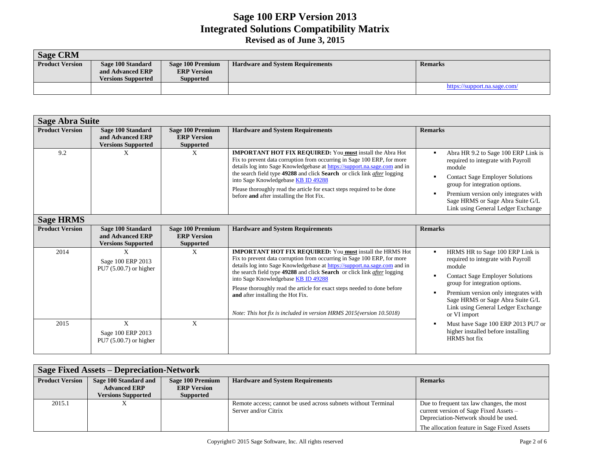| <b>Sage CRM</b>        |                                       |                                        |                                         |                              |
|------------------------|---------------------------------------|----------------------------------------|-----------------------------------------|------------------------------|
| <b>Product Version</b> | Sage 100 Standard<br>and Advanced ERP | Sage 100 Premium<br><b>ERP</b> Version | <b>Hardware and System Requirements</b> | <b>Remarks</b>               |
|                        | <b>Versions Supported</b>             | Supported                              |                                         |                              |
|                        |                                       |                                        |                                         | https://support.na.sage.com/ |

| <b>Sage Abra Suite</b> |                                                                    |                                                                   |                                                                                                                                                                                                                                                                                                                                                                                                                                                                                                                                             |                                                                                                                                                                                                                                                                                                     |
|------------------------|--------------------------------------------------------------------|-------------------------------------------------------------------|---------------------------------------------------------------------------------------------------------------------------------------------------------------------------------------------------------------------------------------------------------------------------------------------------------------------------------------------------------------------------------------------------------------------------------------------------------------------------------------------------------------------------------------------|-----------------------------------------------------------------------------------------------------------------------------------------------------------------------------------------------------------------------------------------------------------------------------------------------------|
| <b>Product Version</b> | Sage 100 Standard<br>and Advanced ERP<br><b>Versions Supported</b> | <b>Sage 100 Premium</b><br><b>ERP</b> Version<br><b>Supported</b> | <b>Hardware and System Requirements</b>                                                                                                                                                                                                                                                                                                                                                                                                                                                                                                     | <b>Remarks</b>                                                                                                                                                                                                                                                                                      |
| 9.2                    | X                                                                  | X                                                                 | <b>IMPORTANT HOT FIX REQUIRED:</b> You must install the Abra Hot<br>Fix to prevent data corruption from occurring in Sage 100 ERP, for more<br>details log into Sage Knowledgebase at https://support.na.sage.com and in<br>the search field type 49288 and click Search or click link <i>after</i> logging<br>into Sage Knowledgebase KB ID 49288<br>Please thoroughly read the article for exact steps required to be done<br>before and after installing the Hot Fix.                                                                    | Abra HR 9.2 to Sage 100 ERP Link is<br>п.<br>required to integrate with Payroll<br>module<br><b>Contact Sage Employer Solutions</b><br>group for integration options.<br>Premium version only integrates with<br>Sage HRMS or Sage Abra Suite G/L<br>Link using General Ledger Exchange             |
| <b>Sage HRMS</b>       |                                                                    |                                                                   |                                                                                                                                                                                                                                                                                                                                                                                                                                                                                                                                             |                                                                                                                                                                                                                                                                                                     |
| <b>Product Version</b> | Sage 100 Standard<br>and Advanced ERP<br><b>Versions Supported</b> | <b>Sage 100 Premium</b><br><b>ERP</b> Version<br><b>Supported</b> | <b>Hardware and System Requirements</b>                                                                                                                                                                                                                                                                                                                                                                                                                                                                                                     | <b>Remarks</b>                                                                                                                                                                                                                                                                                      |
| 2014                   | X<br>Sage 100 ERP 2013<br>PU7 $(5.00.7)$ or higher                 | X                                                                 | <b>IMPORTANT HOT FIX REQUIRED:</b> You <b>must</b> install the HRMS Hot<br>Fix to prevent data corruption from occurring in Sage 100 ERP, for more<br>details log into Sage Knowledgebase at https://support.na.sage.com and in<br>the search field type 49288 and click Search or click link after logging<br>into Sage Knowledgebase KB ID 49288<br>Please thoroughly read the article for exact steps needed to done before<br>and after installing the Hot Fix.<br>Note: This hot fix is included in version HRMS 2015(version 10.5018) | HRMS HR to Sage 100 ERP Link is<br>л.<br>required to integrate with Payroll<br>module<br><b>Contact Sage Employer Solutions</b><br>group for integration options.<br>Premium version only integrates with<br>Sage HRMS or Sage Abra Suite G/L<br>Link using General Ledger Exchange<br>or VI import |
| 2015                   | X<br>Sage 100 ERP 2013<br>PU7 $(5.00.7)$ or higher                 | X                                                                 |                                                                                                                                                                                                                                                                                                                                                                                                                                                                                                                                             | Must have Sage 100 ERP 2013 PU7 or<br>higher installed before installing<br>HRMS hot fix                                                                                                                                                                                                            |

| Sage Fixed Assets – Depreciation-Network |                                                                           |                                                            |                                                                                       |                                                                                                                                                                            |
|------------------------------------------|---------------------------------------------------------------------------|------------------------------------------------------------|---------------------------------------------------------------------------------------|----------------------------------------------------------------------------------------------------------------------------------------------------------------------------|
| <b>Product Version</b>                   | Sage 100 Standard and<br><b>Advanced ERP</b><br><b>Versions Supported</b> | Sage 100 Premium<br><b>ERP</b> Version<br><b>Supported</b> | <b>Hardware and System Requirements</b>                                               | <b>Remarks</b>                                                                                                                                                             |
| 2015.1                                   | △                                                                         |                                                            | Remote access; cannot be used across subnets without Terminal<br>Server and/or Citrix | Due to frequent tax law changes, the most<br>current version of Sage Fixed Assets –<br>Depreciation-Network should be used.<br>The allocation feature in Sage Fixed Assets |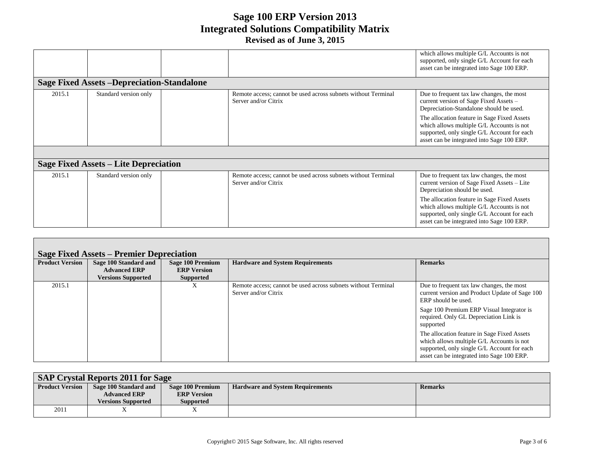|        |                                                   |                                                                                       | which allows multiple G/L Accounts is not<br>supported, only single G/L Account for each<br>asset can be integrated into Sage 100 ERP.                                                                                                                                                                                  |
|--------|---------------------------------------------------|---------------------------------------------------------------------------------------|-------------------------------------------------------------------------------------------------------------------------------------------------------------------------------------------------------------------------------------------------------------------------------------------------------------------------|
|        | <b>Sage Fixed Assets -Depreciation-Standalone</b> |                                                                                       |                                                                                                                                                                                                                                                                                                                         |
| 2015.1 | Standard version only                             | Remote access; cannot be used across subnets without Terminal<br>Server and/or Citrix | Due to frequent tax law changes, the most<br>current version of Sage Fixed Assets -<br>Depreciation-Standalone should be used.<br>The allocation feature in Sage Fixed Assets<br>which allows multiple G/L Accounts is not<br>supported, only single G/L Account for each<br>asset can be integrated into Sage 100 ERP. |
|        |                                                   |                                                                                       |                                                                                                                                                                                                                                                                                                                         |
|        | Sage Fixed Assets – Lite Depreciation             |                                                                                       |                                                                                                                                                                                                                                                                                                                         |
| 2015.1 | Standard version only                             | Remote access; cannot be used across subnets without Terminal<br>Server and/or Citrix | Due to frequent tax law changes, the most<br>current version of Sage Fixed Assets – Lite<br>Depreciation should be used.<br>The allocation feature in Sage Fixed Assets<br>which allows multiple G/L Accounts is not<br>supported, only single G/L Account for each<br>asset can be integrated into Sage 100 ERP.       |

| Sage Fixed Assets – Premier Depreciation |                                                                           |                                                            |                                                                                       |                                                                                                                                                                                       |  |
|------------------------------------------|---------------------------------------------------------------------------|------------------------------------------------------------|---------------------------------------------------------------------------------------|---------------------------------------------------------------------------------------------------------------------------------------------------------------------------------------|--|
| <b>Product Version</b>                   | Sage 100 Standard and<br><b>Advanced ERP</b><br><b>Versions Supported</b> | Sage 100 Premium<br><b>ERP</b> Version<br><b>Supported</b> | <b>Hardware and System Requirements</b>                                               | <b>Remarks</b>                                                                                                                                                                        |  |
| 2015.1                                   |                                                                           | X                                                          | Remote access; cannot be used across subnets without Terminal<br>Server and/or Citrix | Due to frequent tax law changes, the most<br>current version and Product Update of Sage 100<br>ERP should be used.                                                                    |  |
|                                          |                                                                           |                                                            |                                                                                       | Sage 100 Premium ERP Visual Integrator is<br>required. Only GL Depreciation Link is<br>supported                                                                                      |  |
|                                          |                                                                           |                                                            |                                                                                       | The allocation feature in Sage Fixed Assets<br>which allows multiple G/L Accounts is not<br>supported, only single G/L Account for each<br>asset can be integrated into Sage 100 ERP. |  |

| <b>SAP Crystal Reports 2011 for Sage</b> |                                              |                                        |                                         |                |  |
|------------------------------------------|----------------------------------------------|----------------------------------------|-----------------------------------------|----------------|--|
| <b>Product Version</b>                   | Sage 100 Standard and<br><b>Advanced ERP</b> | Sage 100 Premium<br><b>ERP Version</b> | <b>Hardware and System Requirements</b> | <b>Remarks</b> |  |
|                                          | <b>Versions Supported</b>                    | Supported                              |                                         |                |  |
| 2011                                     |                                              |                                        |                                         |                |  |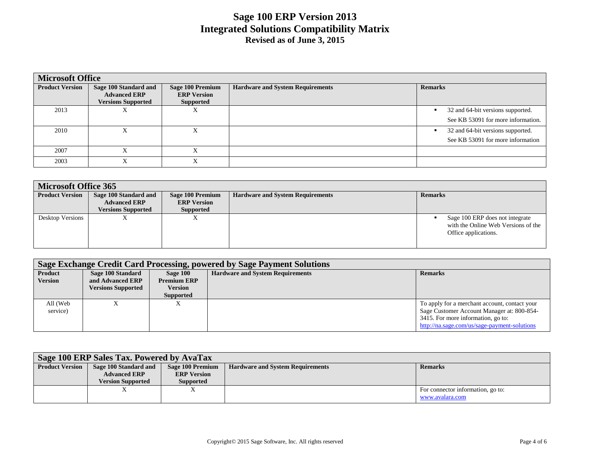| <b>Microsoft Office</b> |                                                                           |                                                            |                                         |                                                                              |  |
|-------------------------|---------------------------------------------------------------------------|------------------------------------------------------------|-----------------------------------------|------------------------------------------------------------------------------|--|
| <b>Product Version</b>  | Sage 100 Standard and<br><b>Advanced ERP</b><br><b>Versions Supported</b> | Sage 100 Premium<br><b>ERP</b> Version<br><b>Supported</b> | <b>Hardware and System Requirements</b> | <b>Remarks</b>                                                               |  |
| 2013                    |                                                                           | л                                                          |                                         | 32 and 64-bit versions supported.<br>п<br>See KB 53091 for more information. |  |
| 2010                    |                                                                           | л                                                          |                                         | 32 and 64-bit versions supported.<br>л<br>See KB 53091 for more information  |  |
| 2007                    |                                                                           |                                                            |                                         |                                                                              |  |
| 2003                    |                                                                           |                                                            |                                         |                                                                              |  |

|                         | <b>Microsoft Office 365</b> |                    |                                         |                                                                                                |  |  |
|-------------------------|-----------------------------|--------------------|-----------------------------------------|------------------------------------------------------------------------------------------------|--|--|
| <b>Product Version</b>  | Sage 100 Standard and       | Sage 100 Premium   | <b>Hardware and System Requirements</b> | <b>Remarks</b>                                                                                 |  |  |
|                         | <b>Advanced ERP</b>         | <b>ERP</b> Version |                                         |                                                                                                |  |  |
|                         | <b>Versions Supported</b>   | <b>Supported</b>   |                                         |                                                                                                |  |  |
| <b>Desktop Versions</b> | △                           | л                  |                                         | Sage 100 ERP does not integrate<br>with the Online Web Versions of the<br>Office applications. |  |  |

|                           | Sage Exchange Credit Card Processing, powered by Sage Payment Solutions |                                                                      |                                         |                                                                                                                                                                                   |  |  |
|---------------------------|-------------------------------------------------------------------------|----------------------------------------------------------------------|-----------------------------------------|-----------------------------------------------------------------------------------------------------------------------------------------------------------------------------------|--|--|
| Product<br><b>Version</b> | Sage 100 Standard<br>and Advanced ERP<br><b>Versions Supported</b>      | Sage 100<br><b>Premium ERP</b><br><b>Version</b><br><b>Supported</b> | <b>Hardware and System Requirements</b> | <b>Remarks</b>                                                                                                                                                                    |  |  |
| All (Web<br>service)      | Λ                                                                       | л                                                                    |                                         | To apply for a merchant account, contact your<br>Sage Customer Account Manager at: 800-854-<br>3415. For more information, go to:<br>http://na.sage.com/us/sage-payment-solutions |  |  |

| Sage 100 ERP Sales Tax. Powered by AvaTax |                                                                          |                                                            |                                         |                                                      |  |
|-------------------------------------------|--------------------------------------------------------------------------|------------------------------------------------------------|-----------------------------------------|------------------------------------------------------|--|
| <b>Product Version</b>                    | Sage 100 Standard and<br><b>Advanced ERP</b><br><b>Version Supported</b> | Sage 100 Premium<br><b>ERP</b> Version<br><b>Supported</b> | <b>Hardware and System Requirements</b> | <b>Remarks</b>                                       |  |
|                                           |                                                                          |                                                            |                                         | For connector information, go to:<br>www.avalara.com |  |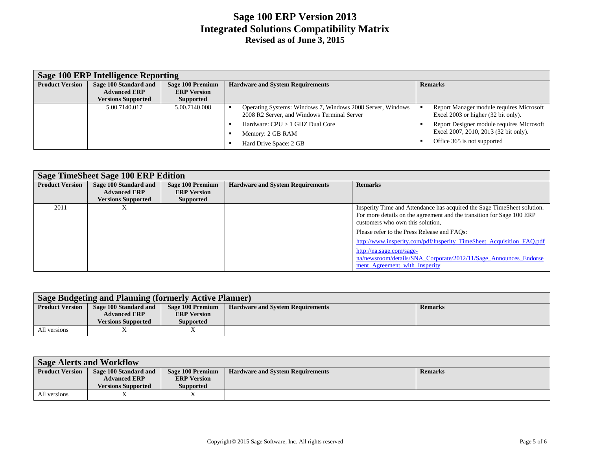| Sage 100 ERP Intelligence Reporting |                                              |                                        |                                                                                                           |                                                                                 |  |
|-------------------------------------|----------------------------------------------|----------------------------------------|-----------------------------------------------------------------------------------------------------------|---------------------------------------------------------------------------------|--|
| <b>Product Version</b>              | Sage 100 Standard and<br><b>Advanced ERP</b> | Sage 100 Premium<br><b>ERP</b> Version | <b>Hardware and System Requirements</b>                                                                   | <b>Remarks</b>                                                                  |  |
|                                     | <b>Versions Supported</b>                    | <b>Supported</b>                       |                                                                                                           |                                                                                 |  |
|                                     | 5.00.7140.017                                | 5.00.7140.008                          | Operating Systems: Windows 7, Windows 2008 Server, Windows<br>2008 R2 Server, and Windows Terminal Server | Report Manager module requires Microsoft<br>Excel 2003 or higher (32 bit only). |  |
|                                     |                                              |                                        | Hardware: $CPU > 1$ GHZ Dual Core                                                                         | Report Designer module requires Microsoft                                       |  |
|                                     |                                              |                                        | Memory: 2 GB RAM                                                                                          | Excel 2007, 2010, 2013 (32 bit only).                                           |  |
|                                     |                                              |                                        | Hard Drive Space: 2 GB                                                                                    | Office 365 is not supported                                                     |  |

| <b>Sage TimeSheet Sage 100 ERP Edition</b> |                                                                           |                                                            |                                         |                                                                                                                                                                                      |  |
|--------------------------------------------|---------------------------------------------------------------------------|------------------------------------------------------------|-----------------------------------------|--------------------------------------------------------------------------------------------------------------------------------------------------------------------------------------|--|
| <b>Product Version</b>                     | Sage 100 Standard and<br><b>Advanced ERP</b><br><b>Versions Supported</b> | Sage 100 Premium<br><b>ERP</b> Version<br><b>Supported</b> | <b>Hardware and System Requirements</b> | <b>Remarks</b>                                                                                                                                                                       |  |
| 2011                                       | л                                                                         |                                                            |                                         | Insperity Time and Attendance has acquired the Sage TimeSheet solution.<br>For more details on the agreement and the transition for Sage 100 ERP<br>customers who own this solution, |  |
|                                            |                                                                           |                                                            |                                         | Please refer to the Press Release and FAOs:                                                                                                                                          |  |
|                                            |                                                                           |                                                            |                                         | http://www.insperity.com/pdf/Insperity_TimeSheet_Acquisition_FAQ.pdf                                                                                                                 |  |
|                                            |                                                                           |                                                            |                                         | http://na.sage.com/sage-<br>na/newsroom/details/SNA_Corporate/2012/11/Sage_Announces_Endorse<br>ment Agreement with Insperity                                                        |  |

| <b>Sage Budgeting and Planning (formerly Active Planner)</b> |                                                                                                        |                    |  |  |  |
|--------------------------------------------------------------|--------------------------------------------------------------------------------------------------------|--------------------|--|--|--|
| <b>Product Version</b>                                       | Sage 100 Standard and<br><b>Hardware and System Requirements</b><br>Sage 100 Premium<br><b>Remarks</b> |                    |  |  |  |
|                                                              | <b>Advanced ERP</b>                                                                                    | <b>ERP</b> Version |  |  |  |
|                                                              | <b>Versions Supported</b>                                                                              | Supported          |  |  |  |
| All versions                                                 |                                                                                                        |                    |  |  |  |

| <b>Sage Alerts and Workflow</b> |                           |                    |                                         |                |  |  |
|---------------------------------|---------------------------|--------------------|-----------------------------------------|----------------|--|--|
| <b>Product Version</b>          | Sage 100 Standard and     | Sage 100 Premium   | <b>Hardware and System Requirements</b> | <b>Remarks</b> |  |  |
|                                 | <b>Advanced ERP</b>       | <b>ERP</b> Version |                                         |                |  |  |
|                                 | <b>Versions Supported</b> | <b>Supported</b>   |                                         |                |  |  |
| All versions                    |                           |                    |                                         |                |  |  |